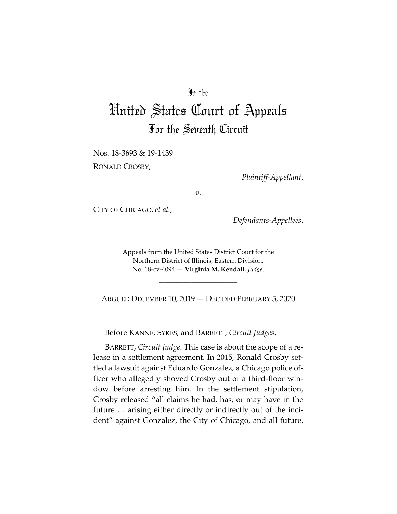## In the

## United States Court of Appeals For the Seventh Circuit

\_\_\_\_\_\_\_\_\_\_\_\_\_\_\_\_\_\_\_\_

Nos. 18-3693 & 19-1439

RONALD CROSBY,

*Plaintiff-Appellant*,

*v.*

CITY OF CHICAGO, *et al.*,

*Defendants-Appellees*.

Appeals from the United States District Court for the Northern District of Illinois, Eastern Division. No. 18-cv-4094 — **Virginia M. Kendall**, *Judge*.

\_\_\_\_\_\_\_\_\_\_\_\_\_\_\_\_\_\_\_\_

\_\_\_\_\_\_\_\_\_\_\_\_\_\_\_\_\_\_\_\_

ARGUED DECEMBER 10, 2019 — DECIDED FEBRUARY 5, 2020 \_\_\_\_\_\_\_\_\_\_\_\_\_\_\_\_\_\_\_\_

Before KANNE, SYKES, and BARRETT, *Circuit Judges*.

BARRETT, *Circuit Judge*. This case is about the scope of a release in a settlement agreement. In 2015, Ronald Crosby settled a lawsuit against Eduardo Gonzalez, a Chicago police officer who allegedly shoved Crosby out of a third-floor window before arresting him. In the settlement stipulation, Crosby released "all claims he had, has, or may have in the future … arising either directly or indirectly out of the incident" against Gonzalez, the City of Chicago, and all future,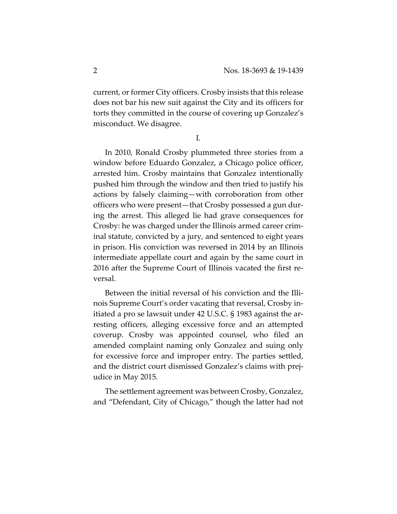current, or former City officers. Crosby insists that this release does not bar his new suit against the City and its officers for torts they committed in the course of covering up Gonzalez's misconduct. We disagree.

I.

In 2010, Ronald Crosby plummeted three stories from a window before Eduardo Gonzalez, a Chicago police officer, arrested him. Crosby maintains that Gonzalez intentionally pushed him through the window and then tried to justify his actions by falsely claiming—with corroboration from other officers who were present—that Crosby possessed a gun during the arrest. This alleged lie had grave consequences for Crosby: he was charged under the Illinois armed career criminal statute, convicted by a jury, and sentenced to eight years in prison. His conviction was reversed in 2014 by an Illinois intermediate appellate court and again by the same court in 2016 after the Supreme Court of Illinois vacated the first reversal.

Between the initial reversal of his conviction and the Illinois Supreme Court's order vacating that reversal, Crosby initiated a pro se lawsuit under 42 U.S.C. § 1983 against the arresting officers, alleging excessive force and an attempted coverup. Crosby was appointed counsel, who filed an amended complaint naming only Gonzalez and suing only for excessive force and improper entry. The parties settled, and the district court dismissed Gonzalez's claims with prejudice in May 2015.

The settlement agreement was between Crosby, Gonzalez, and "Defendant, City of Chicago," though the latter had not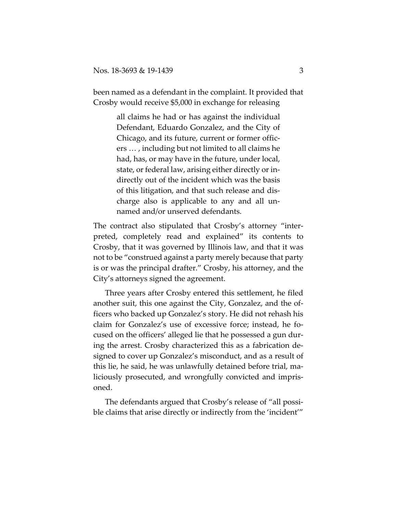been named as a defendant in the complaint. It provided that Crosby would receive \$5,000 in exchange for releasing

> all claims he had or has against the individual Defendant, Eduardo Gonzalez, and the City of Chicago, and its future, current or former officers … , including but not limited to all claims he had, has, or may have in the future, under local, state, or federal law, arising either directly or indirectly out of the incident which was the basis of this litigation, and that such release and discharge also is applicable to any and all unnamed and/or unserved defendants.

The contract also stipulated that Crosby's attorney "interpreted, completely read and explained" its contents to Crosby, that it was governed by Illinois law, and that it was not to be "construed against a party merely because that party is or was the principal drafter." Crosby, his attorney, and the City's attorneys signed the agreement.

Three years after Crosby entered this settlement, he filed another suit, this one against the City, Gonzalez, and the officers who backed up Gonzalez's story. He did not rehash his claim for Gonzalez's use of excessive force; instead, he focused on the officers' alleged lie that he possessed a gun during the arrest. Crosby characterized this as a fabrication designed to cover up Gonzalez's misconduct, and as a result of this lie, he said, he was unlawfully detained before trial, maliciously prosecuted, and wrongfully convicted and imprisoned.

The defendants argued that Crosby's release of "all possible claims that arise directly or indirectly from the 'incident'"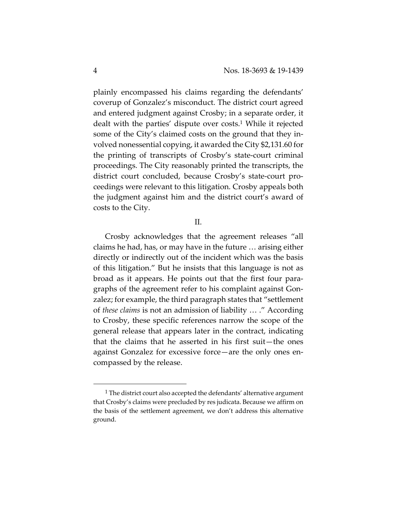plainly encompassed his claims regarding the defendants' coverup of Gonzalez's misconduct. The district court agreed and entered judgment against Crosby; in a separate order, it dealt with the parties' dispute over costs.1 While it rejected some of the City's claimed costs on the ground that they involved nonessential copying, it awarded the City \$2,131.60 for the printing of transcripts of Crosby's state-court criminal proceedings. The City reasonably printed the transcripts, the district court concluded, because Crosby's state-court proceedings were relevant to this litigation. Crosby appeals both the judgment against him and the district court's award of costs to the City.

## II.

Crosby acknowledges that the agreement releases "all claims he had, has, or may have in the future … arising either directly or indirectly out of the incident which was the basis of this litigation." But he insists that this language is not as broad as it appears. He points out that the first four paragraphs of the agreement refer to his complaint against Gonzalez; for example, the third paragraph states that "settlement of *these claims* is not an admission of liability … ." According to Crosby, these specific references narrow the scope of the general release that appears later in the contract, indicating that the claims that he asserted in his first suit—the ones against Gonzalez for excessive force—are the only ones encompassed by the release.

<sup>&</sup>lt;sup>1</sup> The district court also accepted the defendants' alternative argument that Crosby's claims were precluded by res judicata. Because we affirm on the basis of the settlement agreement, we don't address this alternative ground.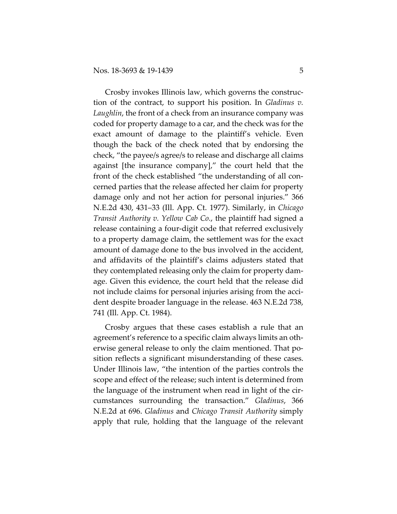Crosby invokes Illinois law, which governs the construction of the contract, to support his position. In *Gladinus v. Laughlin*, the front of a check from an insurance company was coded for property damage to a car, and the check was for the exact amount of damage to the plaintiff's vehicle. Even though the back of the check noted that by endorsing the check, "the payee/s agree/s to release and discharge all claims against [the insurance company]," the court held that the front of the check established "the understanding of all concerned parties that the release affected her claim for property damage only and not her action for personal injuries." 366 N.E.2d 430, 431–33 (Ill. App. Ct. 1977). Similarly, in *Chicago Transit Authority v. Yellow Cab Co.*, the plaintiff had signed a release containing a four-digit code that referred exclusively to a property damage claim, the settlement was for the exact amount of damage done to the bus involved in the accident, and affidavits of the plaintiff's claims adjusters stated that they contemplated releasing only the claim for property damage. Given this evidence, the court held that the release did not include claims for personal injuries arising from the accident despite broader language in the release. 463 N.E.2d 738, 741 (Ill. App. Ct. 1984).

Crosby argues that these cases establish a rule that an agreement's reference to a specific claim always limits an otherwise general release to only the claim mentioned. That position reflects a significant misunderstanding of these cases. Under Illinois law, "the intention of the parties controls the scope and effect of the release; such intent is determined from the language of the instrument when read in light of the circumstances surrounding the transaction." *Gladinus*, 366 N.E.2d at 696. *Gladinus* and *Chicago Transit Authority* simply apply that rule, holding that the language of the relevant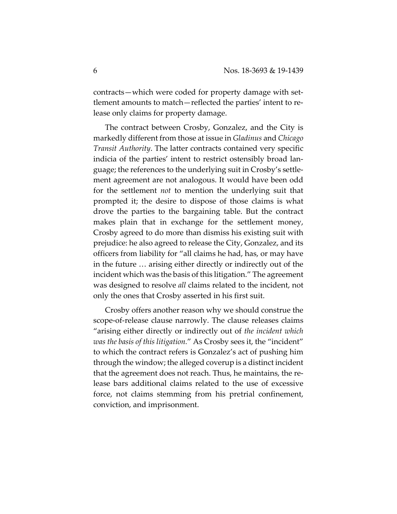contracts—which were coded for property damage with settlement amounts to match—reflected the parties' intent to release only claims for property damage.

The contract between Crosby, Gonzalez, and the City is markedly different from those at issue in *Gladinus* and *Chicago Transit Authority*. The latter contracts contained very specific indicia of the parties' intent to restrict ostensibly broad language; the references to the underlying suit in Crosby's settlement agreement are not analogous. It would have been odd for the settlement *not* to mention the underlying suit that prompted it; the desire to dispose of those claims is what drove the parties to the bargaining table. But the contract makes plain that in exchange for the settlement money, Crosby agreed to do more than dismiss his existing suit with prejudice: he also agreed to release the City, Gonzalez, and its officers from liability for "all claims he had, has, or may have in the future … arising either directly or indirectly out of the incident which was the basis of this litigation." The agreement was designed to resolve *all* claims related to the incident, not only the ones that Crosby asserted in his first suit.

Crosby offers another reason why we should construe the scope-of-release clause narrowly. The clause releases claims "arising either directly or indirectly out of *the incident which was the basis of this litigation.*" As Crosby sees it, the "incident" to which the contract refers is Gonzalez's act of pushing him through the window; the alleged coverup is a distinct incident that the agreement does not reach. Thus, he maintains, the release bars additional claims related to the use of excessive force, not claims stemming from his pretrial confinement, conviction, and imprisonment.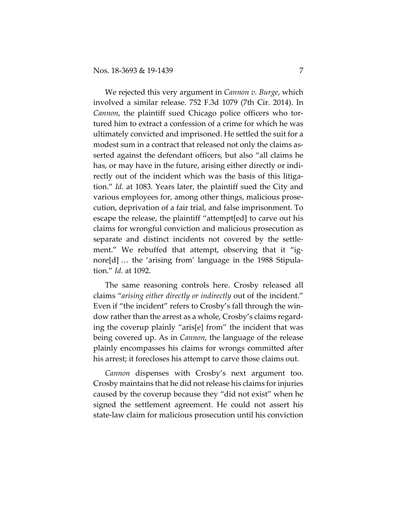We rejected this very argument in *Cannon v. Burge*, which involved a similar release. 752 F.3d 1079 (7th Cir. 2014). In *Cannon*, the plaintiff sued Chicago police officers who tortured him to extract a confession of a crime for which he was ultimately convicted and imprisoned. He settled the suit for a modest sum in a contract that released not only the claims asserted against the defendant officers, but also "all claims he has, or may have in the future, arising either directly or indirectly out of the incident which was the basis of this litigation." *Id.* at 1083. Years later, the plaintiff sued the City and various employees for, among other things, malicious prosecution, deprivation of a fair trial, and false imprisonment. To escape the release, the plaintiff "attempt[ed] to carve out his claims for wrongful conviction and malicious prosecution as separate and distinct incidents not covered by the settlement." We rebuffed that attempt, observing that it "ignore[d] … the 'arising from' language in the 1988 Stipulation." *Id.* at 1092.

The same reasoning controls here. Crosby released all claims "*arising either directly or indirectly* out of the incident." Even if "the incident" refers to Crosby's fall through the window rather than the arrest as a whole, Crosby's claims regarding the coverup plainly "aris[e] from" the incident that was being covered up. As in *Cannon*, the language of the release plainly encompasses his claims for wrongs committed after his arrest; it forecloses his attempt to carve those claims out.

*Cannon* dispenses with Crosby's next argument too. Crosby maintains that he did not release his claims for injuries caused by the coverup because they "did not exist" when he signed the settlement agreement. He could not assert his state-law claim for malicious prosecution until his conviction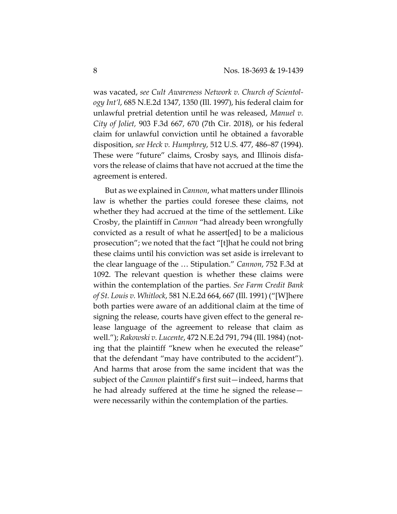was vacated, *see Cult Awareness Network v. Church of Scientology Int'l*, 685 N.E.2d 1347, 1350 (Ill. 1997), his federal claim for unlawful pretrial detention until he was released, *Manuel v. City of Joliet,* 903 F.3d 667, 670 (7th Cir. 2018), or his federal claim for unlawful conviction until he obtained a favorable disposition, *see Heck v. Humphrey*, 512 U.S. 477, 486–87 (1994). These were "future" claims, Crosby says, and Illinois disfavors the release of claims that have not accrued at the time the agreement is entered.

But as we explained in *Cannon*, what matters under Illinois law is whether the parties could foresee these claims, not whether they had accrued at the time of the settlement. Like Crosby, the plaintiff in *Cannon* "had already been wrongfully convicted as a result of what he assert[ed] to be a malicious prosecution"; we noted that the fact "[t]hat he could not bring these claims until his conviction was set aside is irrelevant to the clear language of the … Stipulation." *Cannon*, 752 F.3d at 1092. The relevant question is whether these claims were within the contemplation of the parties. *See Farm Credit Bank of St. Louis v. Whitlock*, 581 N.E.2d 664, 667 (Ill. 1991) ("[W]here both parties were aware of an additional claim at the time of signing the release, courts have given effect to the general release language of the agreement to release that claim as well."); *Rakowski v. Lucente*, 472 N.E.2d 791, 794 (Ill. 1984) (noting that the plaintiff "knew when he executed the release" that the defendant "may have contributed to the accident"). And harms that arose from the same incident that was the subject of the *Cannon* plaintiff's first suit—indeed, harms that he had already suffered at the time he signed the release were necessarily within the contemplation of the parties.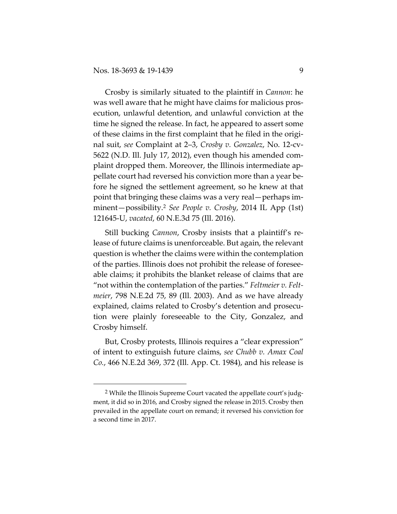Crosby is similarly situated to the plaintiff in *Cannon*: he was well aware that he might have claims for malicious prosecution, unlawful detention, and unlawful conviction at the time he signed the release. In fact, he appeared to assert some of these claims in the first complaint that he filed in the original suit, *see* Complaint at 2–3, *Crosby v. Gonzalez*, No. 12-cv-5622 (N.D. Ill. July 17, 2012), even though his amended complaint dropped them. Moreover, the Illinois intermediate appellate court had reversed his conviction more than a year before he signed the settlement agreement, so he knew at that point that bringing these claims was a very real—perhaps imminent—possibility.2 *See People v. Crosby*, 2014 IL App (1st) 121645-U, *vacated*, 60 N.E.3d 75 (Ill. 2016).

Still bucking *Cannon*, Crosby insists that a plaintiff's release of future claims is unenforceable. But again, the relevant question is whether the claims were within the contemplation of the parties. Illinois does not prohibit the release of foreseeable claims; it prohibits the blanket release of claims that are "not within the contemplation of the parties." *Feltmeier v. Feltmeier*, 798 N.E.2d 75, 89 (Ill. 2003). And as we have already explained, claims related to Crosby's detention and prosecution were plainly foreseeable to the City, Gonzalez, and Crosby himself.

But, Crosby protests, Illinois requires a "clear expression" of intent to extinguish future claims, *see Chubb v. Amax Coal Co.*, 466 N.E.2d 369, 372 (Ill. App. Ct. 1984), and his release is

<sup>&</sup>lt;sup>2</sup> While the Illinois Supreme Court vacated the appellate court's judgment, it did so in 2016, and Crosby signed the release in 2015. Crosby then prevailed in the appellate court on remand; it reversed his conviction for a second time in 2017.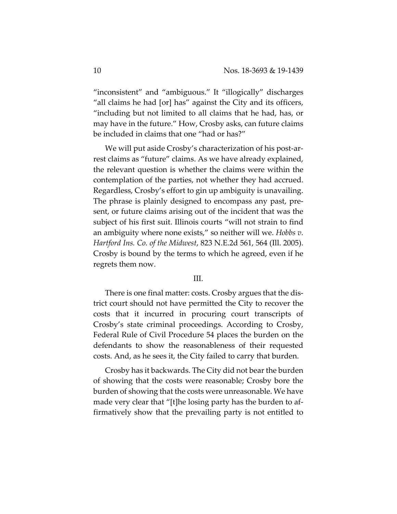"inconsistent" and "ambiguous." It "illogically" discharges "all claims he had [or] has" against the City and its officers, "including but not limited to all claims that he had, has, or may have in the future." How, Crosby asks, can future claims be included in claims that one "had or has?"

We will put aside Crosby's characterization of his post-arrest claims as "future" claims. As we have already explained, the relevant question is whether the claims were within the contemplation of the parties, not whether they had accrued. Regardless, Crosby's effort to gin up ambiguity is unavailing. The phrase is plainly designed to encompass any past, present, or future claims arising out of the incident that was the subject of his first suit. Illinois courts "will not strain to find an ambiguity where none exists," so neither will we. *Hobbs v. Hartford Ins. Co. of the Midwest*, 823 N.E.2d 561, 564 (Ill. 2005). Crosby is bound by the terms to which he agreed, even if he regrets them now.

## III.

There is one final matter: costs. Crosby argues that the district court should not have permitted the City to recover the costs that it incurred in procuring court transcripts of Crosby's state criminal proceedings. According to Crosby, Federal Rule of Civil Procedure 54 places the burden on the defendants to show the reasonableness of their requested costs. And, as he sees it, the City failed to carry that burden.

Crosby has it backwards. The City did not bear the burden of showing that the costs were reasonable; Crosby bore the burden of showing that the costs were unreasonable. We have made very clear that "[t]he losing party has the burden to affirmatively show that the prevailing party is not entitled to